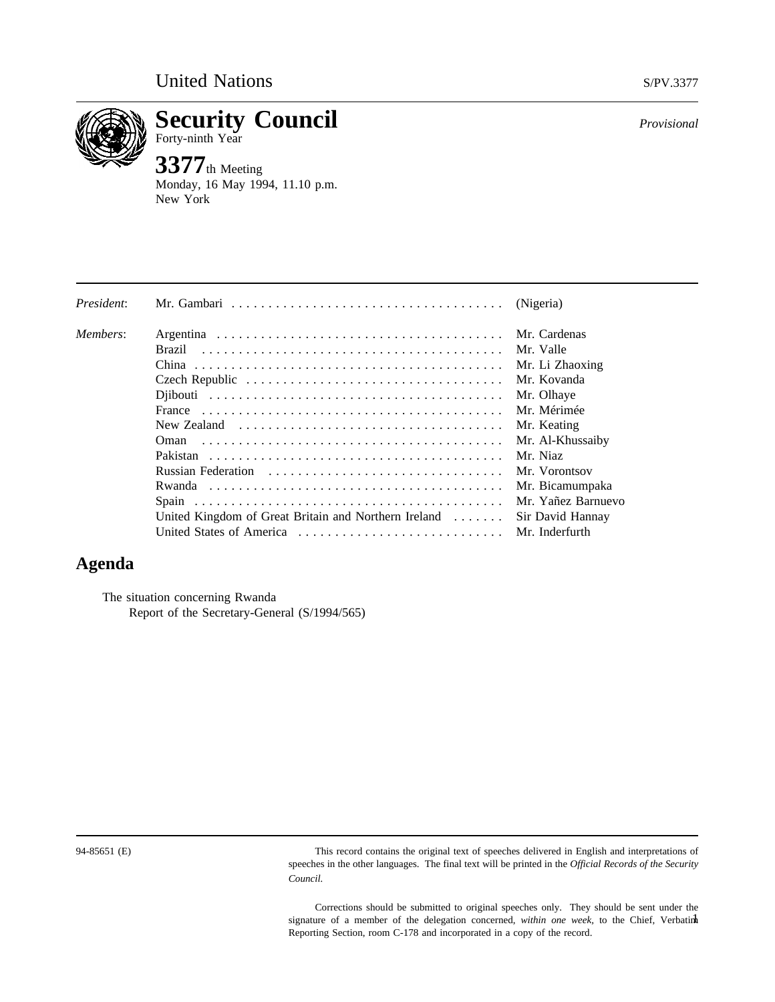

**Security Council** *Provisional* Forty-ninth Year

**3377**th Meeting Monday, 16 May 1994, 11.10 p.m. New York

| President: | Mr. Gambari $\ldots \ldots \ldots \ldots \ldots \ldots \ldots \ldots \ldots \ldots \ldots$ | (Nigeria)          |
|------------|--------------------------------------------------------------------------------------------|--------------------|
| Members:   |                                                                                            | Mr. Cardenas       |
|            | Brazil                                                                                     | Mr. Valle          |
|            |                                                                                            | Mr. Li Zhaoxing    |
|            |                                                                                            | Mr. Kovanda        |
|            |                                                                                            | Mr. Olhaye         |
|            |                                                                                            | Mr. Mérimée        |
|            | New Zealand $\ldots \ldots \ldots \ldots \ldots \ldots \ldots \ldots \ldots \ldots$        | Mr. Keating        |
|            | Oman                                                                                       | Mr. Al-Khussaiby   |
|            |                                                                                            | Mr. Niaz           |
|            |                                                                                            | Mr. Vorontsov      |
|            |                                                                                            | Mr. Bicamumpaka    |
|            |                                                                                            | Mr. Yañez Barnuevo |
|            | United Kingdom of Great Britain and Northern Ireland                                       | Sir David Hannay   |
|            | United States of America                                                                   | Mr. Inderfurth     |

# **Agenda**

The situation concerning Rwanda Report of the Secretary-General (S/1994/565)

94-85651 (E) This record contains the original text of speeches delivered in English and interpretations of speeches in the other languages. The final text will be printed in the *Official Records of the Security Council.*

> Corrections should be submitted to original speeches only. They should be sent under the signature of a member of the delegation concerned, *within one week*, to the Chief, Verbatinh Reporting Section, room C-178 and incorporated in a copy of the record.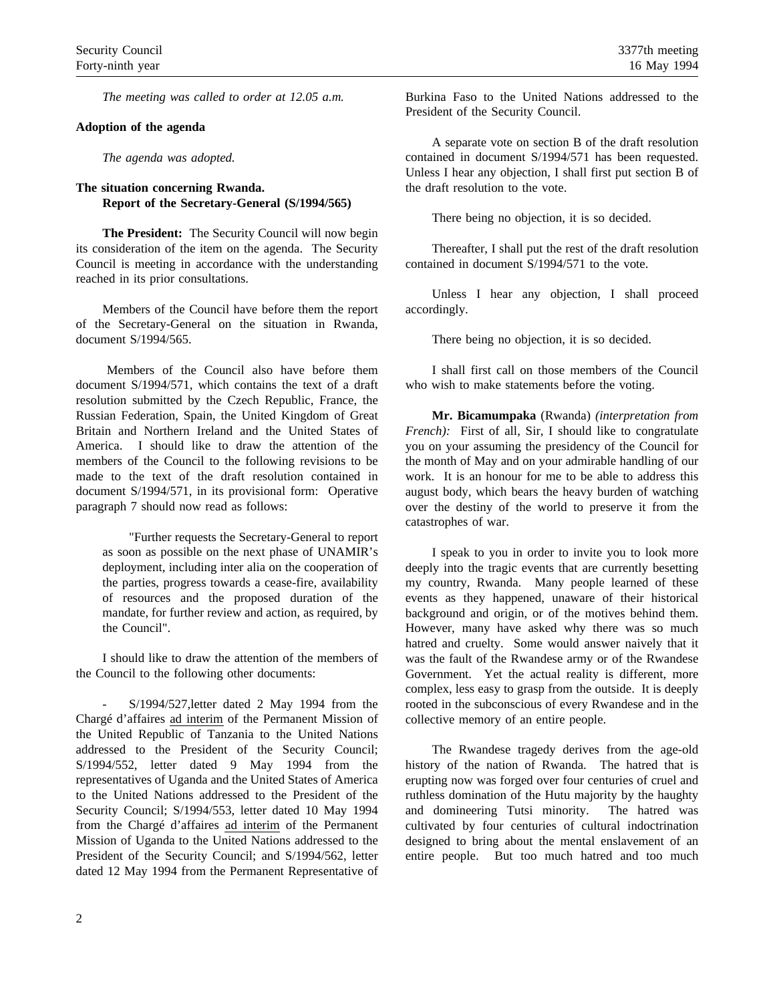*The meeting was called to order at 12.05 a.m.*

#### **Adoption of the agenda**

*The agenda was adopted.*

### **The situation concerning Rwanda. Report of the Secretary-General (S/1994/565)**

**The President:** The Security Council will now begin its consideration of the item on the agenda. The Security Council is meeting in accordance with the understanding reached in its prior consultations.

Members of the Council have before them the report of the Secretary-General on the situation in Rwanda, document S/1994/565.

Members of the Council also have before them document S/1994/571, which contains the text of a draft resolution submitted by the Czech Republic, France, the Russian Federation, Spain, the United Kingdom of Great Britain and Northern Ireland and the United States of America. I should like to draw the attention of the members of the Council to the following revisions to be made to the text of the draft resolution contained in document S/1994/571, in its provisional form: Operative paragraph 7 should now read as follows:

"Further requests the Secretary-General to report as soon as possible on the next phase of UNAMIR's deployment, including inter alia on the cooperation of the parties, progress towards a cease-fire, availability of resources and the proposed duration of the mandate, for further review and action, as required, by the Council".

I should like to draw the attention of the members of the Council to the following other documents:

- S/1994/527,letter dated 2 May 1994 from the Chargé d'affaires ad interim of the Permanent Mission of the United Republic of Tanzania to the United Nations addressed to the President of the Security Council; S/1994/552, letter dated 9 May 1994 from the representatives of Uganda and the United States of America to the United Nations addressed to the President of the Security Council; S/1994/553, letter dated 10 May 1994 from the Chargé d'affaires ad interim of the Permanent Mission of Uganda to the United Nations addressed to the President of the Security Council; and S/1994/562, letter dated 12 May 1994 from the Permanent Representative of Burkina Faso to the United Nations addressed to the President of the Security Council.

A separate vote on section B of the draft resolution contained in document S/1994/571 has been requested. Unless I hear any objection, I shall first put section B of the draft resolution to the vote.

There being no objection, it is so decided.

Thereafter, I shall put the rest of the draft resolution contained in document S/1994/571 to the vote.

Unless I hear any objection, I shall proceed accordingly.

There being no objection, it is so decided.

I shall first call on those members of the Council who wish to make statements before the voting.

**Mr. Bicamumpaka** (Rwanda) *(interpretation from French*): First of all, Sir, I should like to congratulate you on your assuming the presidency of the Council for the month of May and on your admirable handling of our work. It is an honour for me to be able to address this august body, which bears the heavy burden of watching over the destiny of the world to preserve it from the catastrophes of war.

I speak to you in order to invite you to look more deeply into the tragic events that are currently besetting my country, Rwanda. Many people learned of these events as they happened, unaware of their historical background and origin, or of the motives behind them. However, many have asked why there was so much hatred and cruelty. Some would answer naively that it was the fault of the Rwandese army or of the Rwandese Government. Yet the actual reality is different, more complex, less easy to grasp from the outside. It is deeply rooted in the subconscious of every Rwandese and in the collective memory of an entire people.

The Rwandese tragedy derives from the age-old history of the nation of Rwanda. The hatred that is erupting now was forged over four centuries of cruel and ruthless domination of the Hutu majority by the haughty and domineering Tutsi minority. The hatred was cultivated by four centuries of cultural indoctrination designed to bring about the mental enslavement of an entire people. But too much hatred and too much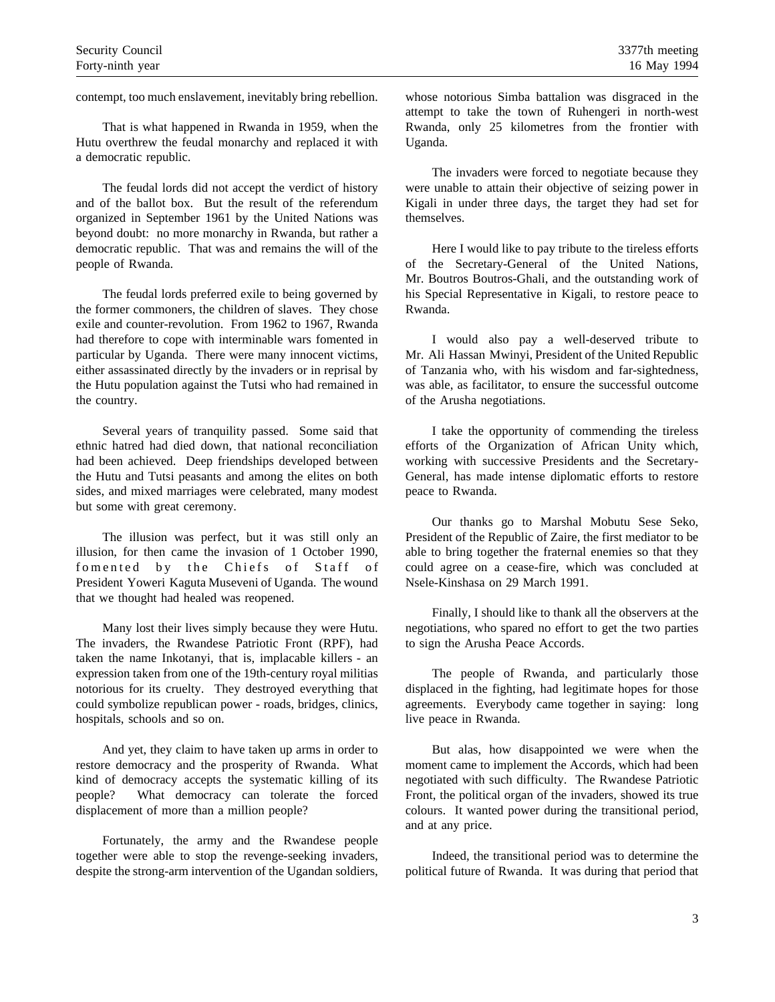contempt, too much enslavement, inevitably bring rebellion.

That is what happened in Rwanda in 1959, when the Hutu overthrew the feudal monarchy and replaced it with a democratic republic.

The feudal lords did not accept the verdict of history and of the ballot box. But the result of the referendum organized in September 1961 by the United Nations was beyond doubt: no more monarchy in Rwanda, but rather a democratic republic. That was and remains the will of the people of Rwanda.

The feudal lords preferred exile to being governed by the former commoners, the children of slaves. They chose exile and counter-revolution. From 1962 to 1967, Rwanda had therefore to cope with interminable wars fomented in particular by Uganda. There were many innocent victims, either assassinated directly by the invaders or in reprisal by the Hutu population against the Tutsi who had remained in the country.

Several years of tranquility passed. Some said that ethnic hatred had died down, that national reconciliation had been achieved. Deep friendships developed between the Hutu and Tutsi peasants and among the elites on both sides, and mixed marriages were celebrated, many modest but some with great ceremony.

The illusion was perfect, but it was still only an illusion, for then came the invasion of 1 October 1990, fomented by the Chiefs of Staff of President Yoweri Kaguta Museveni of Uganda. The wound that we thought had healed was reopened.

Many lost their lives simply because they were Hutu. The invaders, the Rwandese Patriotic Front (RPF), had taken the name Inkotanyi, that is, implacable killers - an expression taken from one of the 19th-century royal militias notorious for its cruelty. They destroyed everything that could symbolize republican power - roads, bridges, clinics, hospitals, schools and so on.

And yet, they claim to have taken up arms in order to restore democracy and the prosperity of Rwanda. What kind of democracy accepts the systematic killing of its people? What democracy can tolerate the forced displacement of more than a million people?

Fortunately, the army and the Rwandese people together were able to stop the revenge-seeking invaders, despite the strong-arm intervention of the Ugandan soldiers, whose notorious Simba battalion was disgraced in the attempt to take the town of Ruhengeri in north-west Rwanda, only 25 kilometres from the frontier with Uganda.

The invaders were forced to negotiate because they were unable to attain their objective of seizing power in Kigali in under three days, the target they had set for themselves.

Here I would like to pay tribute to the tireless efforts of the Secretary-General of the United Nations, Mr. Boutros Boutros-Ghali, and the outstanding work of his Special Representative in Kigali, to restore peace to Rwanda.

I would also pay a well-deserved tribute to Mr. Ali Hassan Mwinyi, President of the United Republic of Tanzania who, with his wisdom and far-sightedness, was able, as facilitator, to ensure the successful outcome of the Arusha negotiations.

I take the opportunity of commending the tireless efforts of the Organization of African Unity which, working with successive Presidents and the Secretary-General, has made intense diplomatic efforts to restore peace to Rwanda.

Our thanks go to Marshal Mobutu Sese Seko, President of the Republic of Zaire, the first mediator to be able to bring together the fraternal enemies so that they could agree on a cease-fire, which was concluded at Nsele-Kinshasa on 29 March 1991.

Finally, I should like to thank all the observers at the negotiations, who spared no effort to get the two parties to sign the Arusha Peace Accords.

The people of Rwanda, and particularly those displaced in the fighting, had legitimate hopes for those agreements. Everybody came together in saying: long live peace in Rwanda.

But alas, how disappointed we were when the moment came to implement the Accords, which had been negotiated with such difficulty. The Rwandese Patriotic Front, the political organ of the invaders, showed its true colours. It wanted power during the transitional period, and at any price.

Indeed, the transitional period was to determine the political future of Rwanda. It was during that period that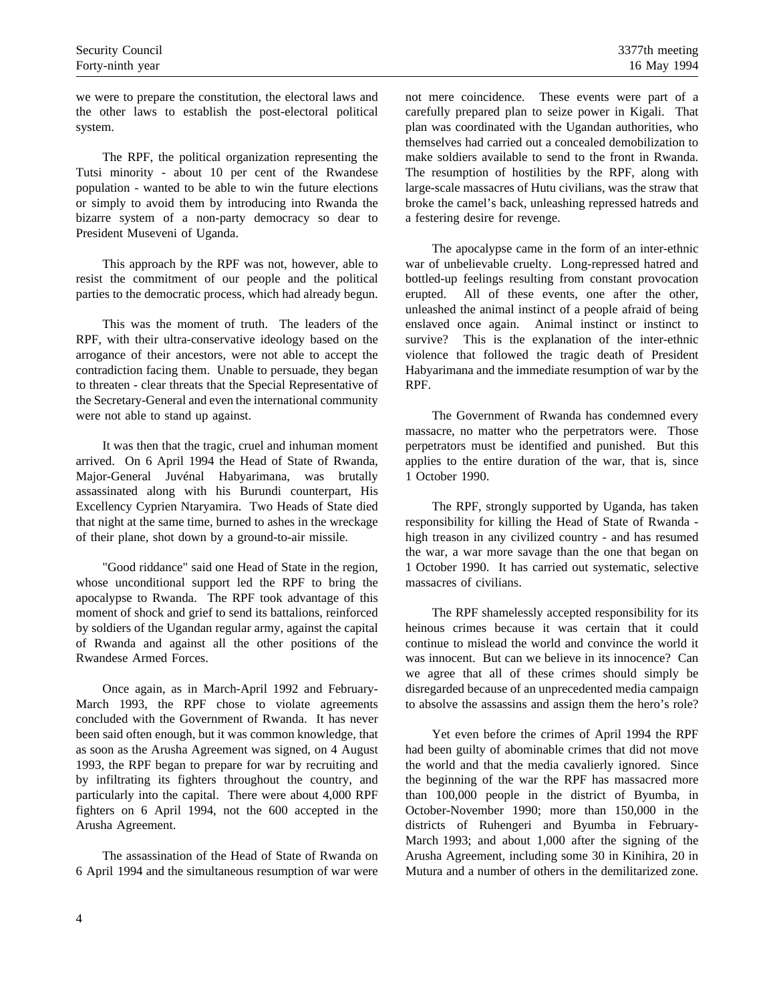we were to prepare the constitution, the electoral laws and the other laws to establish the post-electoral political system.

The RPF, the political organization representing the Tutsi minority - about 10 per cent of the Rwandese population - wanted to be able to win the future elections or simply to avoid them by introducing into Rwanda the bizarre system of a non-party democracy so dear to President Museveni of Uganda.

This approach by the RPF was not, however, able to resist the commitment of our people and the political parties to the democratic process, which had already begun.

This was the moment of truth. The leaders of the RPF, with their ultra-conservative ideology based on the arrogance of their ancestors, were not able to accept the contradiction facing them. Unable to persuade, they began to threaten - clear threats that the Special Representative of the Secretary-General and even the international community were not able to stand up against.

It was then that the tragic, cruel and inhuman moment arrived. On 6 April 1994 the Head of State of Rwanda, Major-General Juvénal Habyarimana, was brutally assassinated along with his Burundi counterpart, His Excellency Cyprien Ntaryamira. Two Heads of State died that night at the same time, burned to ashes in the wreckage of their plane, shot down by a ground-to-air missile.

"Good riddance" said one Head of State in the region, whose unconditional support led the RPF to bring the apocalypse to Rwanda. The RPF took advantage of this moment of shock and grief to send its battalions, reinforced by soldiers of the Ugandan regular army, against the capital of Rwanda and against all the other positions of the Rwandese Armed Forces.

Once again, as in March-April 1992 and February-March 1993, the RPF chose to violate agreements concluded with the Government of Rwanda. It has never been said often enough, but it was common knowledge, that as soon as the Arusha Agreement was signed, on 4 August 1993, the RPF began to prepare for war by recruiting and by infiltrating its fighters throughout the country, and particularly into the capital. There were about 4,000 RPF fighters on 6 April 1994, not the 600 accepted in the Arusha Agreement.

The assassination of the Head of State of Rwanda on 6 April 1994 and the simultaneous resumption of war were not mere coincidence. These events were part of a carefully prepared plan to seize power in Kigali. That plan was coordinated with the Ugandan authorities, who themselves had carried out a concealed demobilization to make soldiers available to send to the front in Rwanda. The resumption of hostilities by the RPF, along with large-scale massacres of Hutu civilians, was the straw that broke the camel's back, unleashing repressed hatreds and a festering desire for revenge.

The apocalypse came in the form of an inter-ethnic war of unbelievable cruelty. Long-repressed hatred and bottled-up feelings resulting from constant provocation erupted. All of these events, one after the other, unleashed the animal instinct of a people afraid of being enslaved once again. Animal instinct or instinct to survive? This is the explanation of the inter-ethnic violence that followed the tragic death of President Habyarimana and the immediate resumption of war by the RPF.

The Government of Rwanda has condemned every massacre, no matter who the perpetrators were. Those perpetrators must be identified and punished. But this applies to the entire duration of the war, that is, since 1 October 1990.

The RPF, strongly supported by Uganda, has taken responsibility for killing the Head of State of Rwanda high treason in any civilized country - and has resumed the war, a war more savage than the one that began on 1 October 1990. It has carried out systematic, selective massacres of civilians.

The RPF shamelessly accepted responsibility for its heinous crimes because it was certain that it could continue to mislead the world and convince the world it was innocent. But can we believe in its innocence? Can we agree that all of these crimes should simply be disregarded because of an unprecedented media campaign to absolve the assassins and assign them the hero's role?

Yet even before the crimes of April 1994 the RPF had been guilty of abominable crimes that did not move the world and that the media cavalierly ignored. Since the beginning of the war the RPF has massacred more than 100,000 people in the district of Byumba, in October-November 1990; more than 150,000 in the districts of Ruhengeri and Byumba in February-March 1993; and about 1,000 after the signing of the Arusha Agreement, including some 30 in Kinihira, 20 in Mutura and a number of others in the demilitarized zone.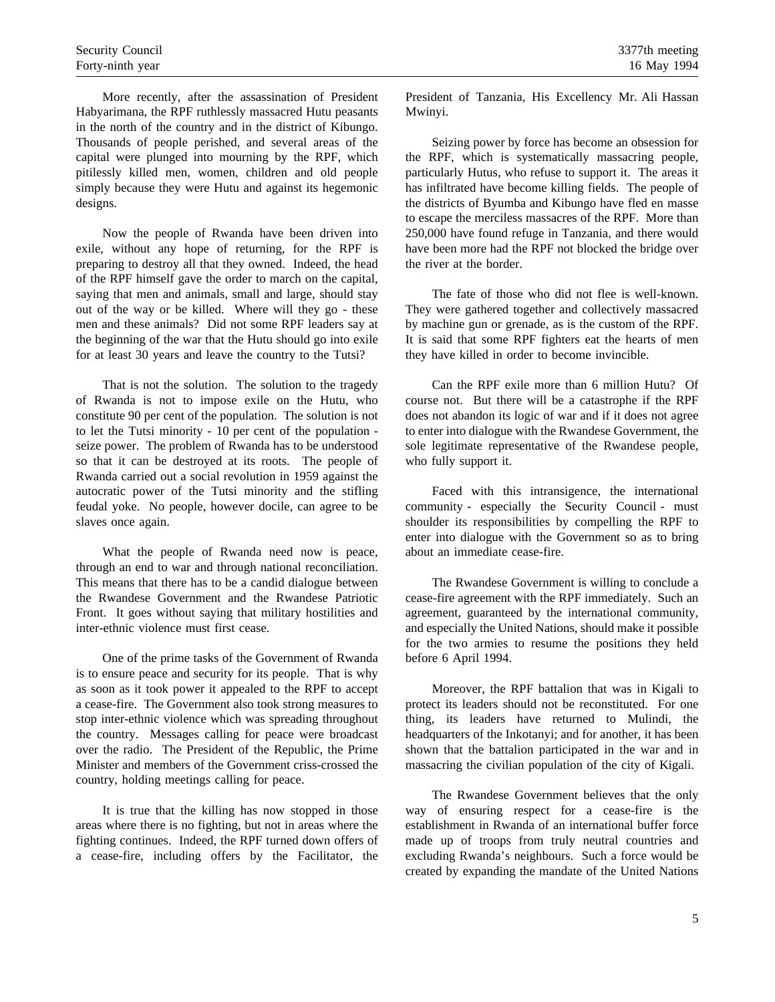More recently, after the assassination of President Habyarimana, the RPF ruthlessly massacred Hutu peasants in the north of the country and in the district of Kibungo. Thousands of people perished, and several areas of the capital were plunged into mourning by the RPF, which pitilessly killed men, women, children and old people simply because they were Hutu and against its hegemonic designs.

Now the people of Rwanda have been driven into exile, without any hope of returning, for the RPF is preparing to destroy all that they owned. Indeed, the head of the RPF himself gave the order to march on the capital, saying that men and animals, small and large, should stay out of the way or be killed. Where will they go - these men and these animals? Did not some RPF leaders say at the beginning of the war that the Hutu should go into exile for at least 30 years and leave the country to the Tutsi?

That is not the solution. The solution to the tragedy of Rwanda is not to impose exile on the Hutu, who constitute 90 per cent of the population. The solution is not to let the Tutsi minority - 10 per cent of the population seize power. The problem of Rwanda has to be understood so that it can be destroyed at its roots. The people of Rwanda carried out a social revolution in 1959 against the autocratic power of the Tutsi minority and the stifling feudal yoke. No people, however docile, can agree to be slaves once again.

What the people of Rwanda need now is peace, through an end to war and through national reconciliation. This means that there has to be a candid dialogue between the Rwandese Government and the Rwandese Patriotic Front. It goes without saying that military hostilities and inter-ethnic violence must first cease.

One of the prime tasks of the Government of Rwanda is to ensure peace and security for its people. That is why as soon as it took power it appealed to the RPF to accept a cease-fire. The Government also took strong measures to stop inter-ethnic violence which was spreading throughout the country. Messages calling for peace were broadcast over the radio. The President of the Republic, the Prime Minister and members of the Government criss-crossed the country, holding meetings calling for peace.

It is true that the killing has now stopped in those areas where there is no fighting, but not in areas where the fighting continues. Indeed, the RPF turned down offers of a cease-fire, including offers by the Facilitator, the President of Tanzania, His Excellency Mr. Ali Hassan Mwinyi.

Seizing power by force has become an obsession for the RPF, which is systematically massacring people, particularly Hutus, who refuse to support it. The areas it has infiltrated have become killing fields. The people of the districts of Byumba and Kibungo have fled en masse to escape the merciless massacres of the RPF. More than 250,000 have found refuge in Tanzania, and there would have been more had the RPF not blocked the bridge over the river at the border.

The fate of those who did not flee is well-known. They were gathered together and collectively massacred by machine gun or grenade, as is the custom of the RPF. It is said that some RPF fighters eat the hearts of men they have killed in order to become invincible.

Can the RPF exile more than 6 million Hutu? Of course not. But there will be a catastrophe if the RPF does not abandon its logic of war and if it does not agree to enter into dialogue with the Rwandese Government, the sole legitimate representative of the Rwandese people, who fully support it.

Faced with this intransigence, the international community - especially the Security Council - must shoulder its responsibilities by compelling the RPF to enter into dialogue with the Government so as to bring about an immediate cease-fire.

The Rwandese Government is willing to conclude a cease-fire agreement with the RPF immediately. Such an agreement, guaranteed by the international community, and especially the United Nations, should make it possible for the two armies to resume the positions they held before 6 April 1994.

Moreover, the RPF battalion that was in Kigali to protect its leaders should not be reconstituted. For one thing, its leaders have returned to Mulindi, the headquarters of the Inkotanyi; and for another, it has been shown that the battalion participated in the war and in massacring the civilian population of the city of Kigali.

The Rwandese Government believes that the only way of ensuring respect for a cease-fire is the establishment in Rwanda of an international buffer force made up of troops from truly neutral countries and excluding Rwanda's neighbours. Such a force would be created by expanding the mandate of the United Nations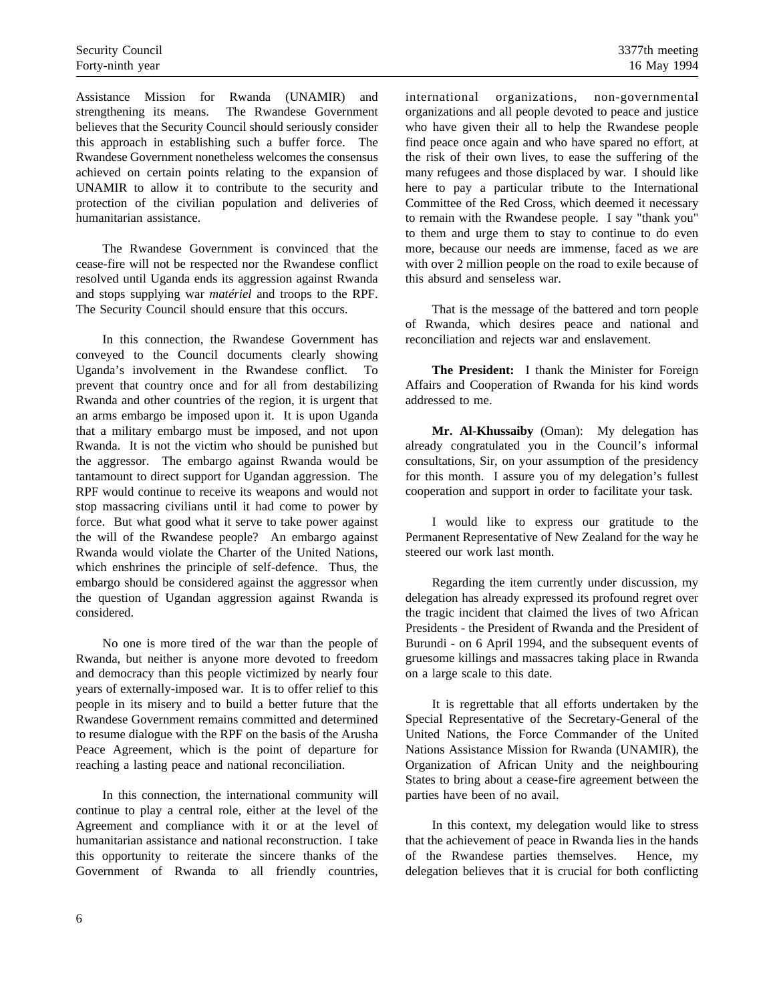Assistance Mission for Rwanda (UNAMIR) and strengthening its means. The Rwandese Government believes that the Security Council should seriously consider this approach in establishing such a buffer force. The Rwandese Government nonetheless welcomes the consensus achieved on certain points relating to the expansion of UNAMIR to allow it to contribute to the security and protection of the civilian population and deliveries of humanitarian assistance.

The Rwandese Government is convinced that the cease-fire will not be respected nor the Rwandese conflict resolved until Uganda ends its aggression against Rwanda and stops supplying war *matériel* and troops to the RPF. The Security Council should ensure that this occurs.

In this connection, the Rwandese Government has conveyed to the Council documents clearly showing Uganda's involvement in the Rwandese conflict. To prevent that country once and for all from destabilizing Rwanda and other countries of the region, it is urgent that an arms embargo be imposed upon it. It is upon Uganda that a military embargo must be imposed, and not upon Rwanda. It is not the victim who should be punished but the aggressor. The embargo against Rwanda would be tantamount to direct support for Ugandan aggression. The RPF would continue to receive its weapons and would not stop massacring civilians until it had come to power by force. But what good what it serve to take power against the will of the Rwandese people? An embargo against Rwanda would violate the Charter of the United Nations, which enshrines the principle of self-defence. Thus, the embargo should be considered against the aggressor when the question of Ugandan aggression against Rwanda is considered.

No one is more tired of the war than the people of Rwanda, but neither is anyone more devoted to freedom and democracy than this people victimized by nearly four years of externally-imposed war. It is to offer relief to this people in its misery and to build a better future that the Rwandese Government remains committed and determined to resume dialogue with the RPF on the basis of the Arusha Peace Agreement, which is the point of departure for reaching a lasting peace and national reconciliation.

In this connection, the international community will continue to play a central role, either at the level of the Agreement and compliance with it or at the level of humanitarian assistance and national reconstruction. I take this opportunity to reiterate the sincere thanks of the Government of Rwanda to all friendly countries, international organizations, non-governmental organizations and all people devoted to peace and justice who have given their all to help the Rwandese people find peace once again and who have spared no effort, at the risk of their own lives, to ease the suffering of the many refugees and those displaced by war. I should like here to pay a particular tribute to the International Committee of the Red Cross, which deemed it necessary to remain with the Rwandese people. I say "thank you" to them and urge them to stay to continue to do even more, because our needs are immense, faced as we are with over 2 million people on the road to exile because of this absurd and senseless war.

That is the message of the battered and torn people of Rwanda, which desires peace and national and reconciliation and rejects war and enslavement.

**The President:** I thank the Minister for Foreign Affairs and Cooperation of Rwanda for his kind words addressed to me.

**Mr. Al-Khussaiby** (Oman): My delegation has already congratulated you in the Council's informal consultations, Sir, on your assumption of the presidency for this month. I assure you of my delegation's fullest cooperation and support in order to facilitate your task.

I would like to express our gratitude to the Permanent Representative of New Zealand for the way he steered our work last month.

Regarding the item currently under discussion, my delegation has already expressed its profound regret over the tragic incident that claimed the lives of two African Presidents - the President of Rwanda and the President of Burundi - on 6 April 1994, and the subsequent events of gruesome killings and massacres taking place in Rwanda on a large scale to this date.

It is regrettable that all efforts undertaken by the Special Representative of the Secretary-General of the United Nations, the Force Commander of the United Nations Assistance Mission for Rwanda (UNAMIR), the Organization of African Unity and the neighbouring States to bring about a cease-fire agreement between the parties have been of no avail.

In this context, my delegation would like to stress that the achievement of peace in Rwanda lies in the hands of the Rwandese parties themselves. Hence, my delegation believes that it is crucial for both conflicting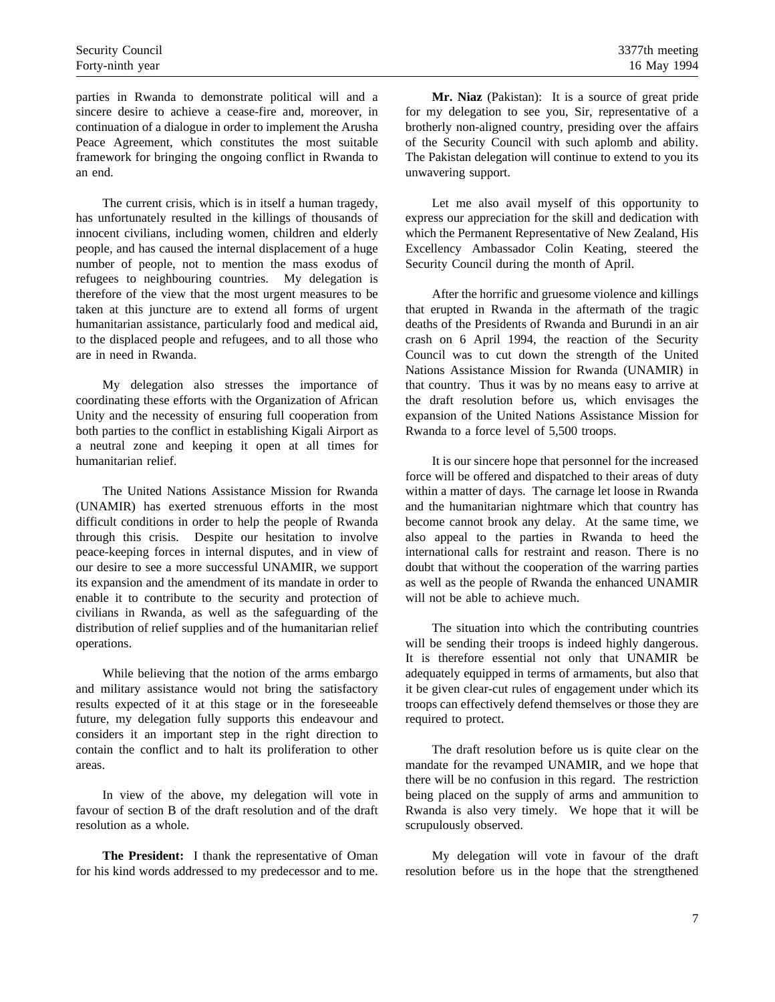parties in Rwanda to demonstrate political will and a sincere desire to achieve a cease-fire and, moreover, in continuation of a dialogue in order to implement the Arusha Peace Agreement, which constitutes the most suitable framework for bringing the ongoing conflict in Rwanda to an end.

The current crisis, which is in itself a human tragedy, has unfortunately resulted in the killings of thousands of innocent civilians, including women, children and elderly people, and has caused the internal displacement of a huge number of people, not to mention the mass exodus of refugees to neighbouring countries. My delegation is therefore of the view that the most urgent measures to be taken at this juncture are to extend all forms of urgent humanitarian assistance, particularly food and medical aid, to the displaced people and refugees, and to all those who are in need in Rwanda.

My delegation also stresses the importance of coordinating these efforts with the Organization of African Unity and the necessity of ensuring full cooperation from both parties to the conflict in establishing Kigali Airport as a neutral zone and keeping it open at all times for humanitarian relief.

The United Nations Assistance Mission for Rwanda (UNAMIR) has exerted strenuous efforts in the most difficult conditions in order to help the people of Rwanda through this crisis. Despite our hesitation to involve peace-keeping forces in internal disputes, and in view of our desire to see a more successful UNAMIR, we support its expansion and the amendment of its mandate in order to enable it to contribute to the security and protection of civilians in Rwanda, as well as the safeguarding of the distribution of relief supplies and of the humanitarian relief operations.

While believing that the notion of the arms embargo and military assistance would not bring the satisfactory results expected of it at this stage or in the foreseeable future, my delegation fully supports this endeavour and considers it an important step in the right direction to contain the conflict and to halt its proliferation to other areas.

In view of the above, my delegation will vote in favour of section B of the draft resolution and of the draft resolution as a whole.

**The President:** I thank the representative of Oman for his kind words addressed to my predecessor and to me.

**Mr. Niaz** (Pakistan): It is a source of great pride for my delegation to see you, Sir, representative of a brotherly non-aligned country, presiding over the affairs of the Security Council with such aplomb and ability. The Pakistan delegation will continue to extend to you its unwavering support.

Let me also avail myself of this opportunity to express our appreciation for the skill and dedication with which the Permanent Representative of New Zealand, His Excellency Ambassador Colin Keating, steered the Security Council during the month of April.

After the horrific and gruesome violence and killings that erupted in Rwanda in the aftermath of the tragic deaths of the Presidents of Rwanda and Burundi in an air crash on 6 April 1994, the reaction of the Security Council was to cut down the strength of the United Nations Assistance Mission for Rwanda (UNAMIR) in that country. Thus it was by no means easy to arrive at the draft resolution before us, which envisages the expansion of the United Nations Assistance Mission for Rwanda to a force level of 5,500 troops.

It is our sincere hope that personnel for the increased force will be offered and dispatched to their areas of duty within a matter of days. The carnage let loose in Rwanda and the humanitarian nightmare which that country has become cannot brook any delay. At the same time, we also appeal to the parties in Rwanda to heed the international calls for restraint and reason. There is no doubt that without the cooperation of the warring parties as well as the people of Rwanda the enhanced UNAMIR will not be able to achieve much.

The situation into which the contributing countries will be sending their troops is indeed highly dangerous. It is therefore essential not only that UNAMIR be adequately equipped in terms of armaments, but also that it be given clear-cut rules of engagement under which its troops can effectively defend themselves or those they are required to protect.

The draft resolution before us is quite clear on the mandate for the revamped UNAMIR, and we hope that there will be no confusion in this regard. The restriction being placed on the supply of arms and ammunition to Rwanda is also very timely. We hope that it will be scrupulously observed.

My delegation will vote in favour of the draft resolution before us in the hope that the strengthened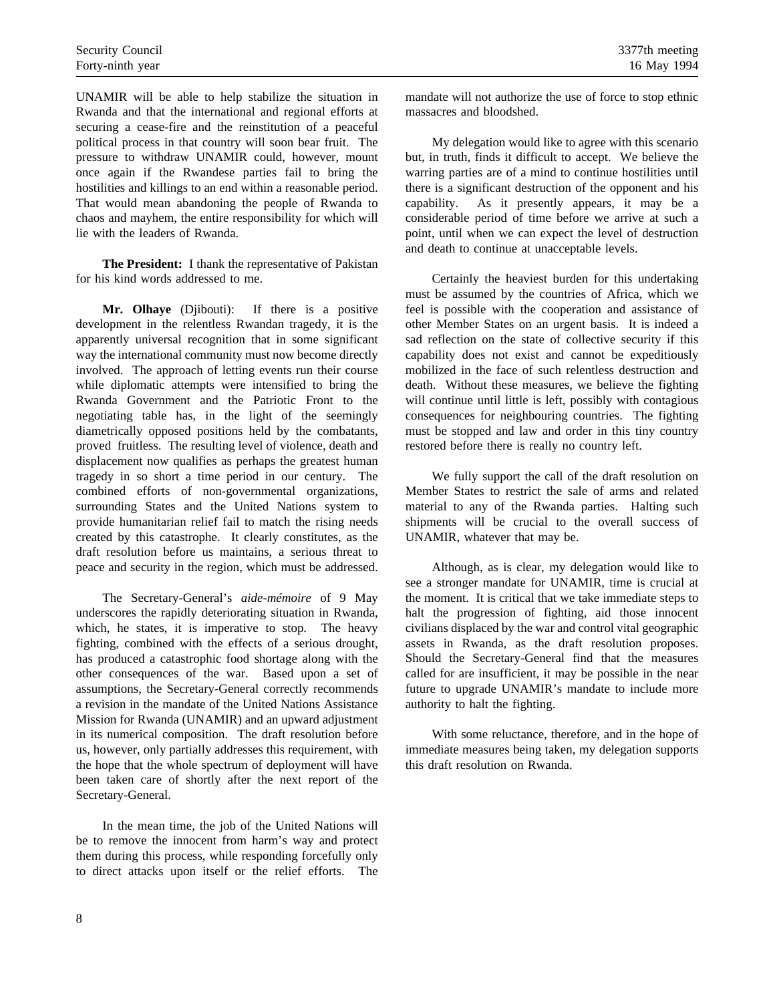UNAMIR will be able to help stabilize the situation in Rwanda and that the international and regional efforts at securing a cease-fire and the reinstitution of a peaceful political process in that country will soon bear fruit. The pressure to withdraw UNAMIR could, however, mount once again if the Rwandese parties fail to bring the hostilities and killings to an end within a reasonable period. That would mean abandoning the people of Rwanda to chaos and mayhem, the entire responsibility for which will lie with the leaders of Rwanda.

**The President:** I thank the representative of Pakistan for his kind words addressed to me.

**Mr. Olhaye** (Djibouti): If there is a positive development in the relentless Rwandan tragedy, it is the apparently universal recognition that in some significant way the international community must now become directly involved. The approach of letting events run their course while diplomatic attempts were intensified to bring the Rwanda Government and the Patriotic Front to the negotiating table has, in the light of the seemingly diametrically opposed positions held by the combatants, proved fruitless. The resulting level of violence, death and displacement now qualifies as perhaps the greatest human tragedy in so short a time period in our century. The combined efforts of non-governmental organizations, surrounding States and the United Nations system to provide humanitarian relief fail to match the rising needs created by this catastrophe. It clearly constitutes, as the draft resolution before us maintains, a serious threat to peace and security in the region, which must be addressed.

The Secretary-General's *aide-mémoire* of 9 May underscores the rapidly deteriorating situation in Rwanda, which, he states, it is imperative to stop. The heavy fighting, combined with the effects of a serious drought, has produced a catastrophic food shortage along with the other consequences of the war. Based upon a set of assumptions, the Secretary-General correctly recommends a revision in the mandate of the United Nations Assistance Mission for Rwanda (UNAMIR) and an upward adjustment in its numerical composition. The draft resolution before us, however, only partially addresses this requirement, with the hope that the whole spectrum of deployment will have been taken care of shortly after the next report of the Secretary-General.

In the mean time, the job of the United Nations will be to remove the innocent from harm's way and protect them during this process, while responding forcefully only to direct attacks upon itself or the relief efforts. The mandate will not authorize the use of force to stop ethnic massacres and bloodshed.

My delegation would like to agree with this scenario but, in truth, finds it difficult to accept. We believe the warring parties are of a mind to continue hostilities until there is a significant destruction of the opponent and his capability. As it presently appears, it may be a considerable period of time before we arrive at such a point, until when we can expect the level of destruction and death to continue at unacceptable levels.

Certainly the heaviest burden for this undertaking must be assumed by the countries of Africa, which we feel is possible with the cooperation and assistance of other Member States on an urgent basis. It is indeed a sad reflection on the state of collective security if this capability does not exist and cannot be expeditiously mobilized in the face of such relentless destruction and death. Without these measures, we believe the fighting will continue until little is left, possibly with contagious consequences for neighbouring countries. The fighting must be stopped and law and order in this tiny country restored before there is really no country left.

We fully support the call of the draft resolution on Member States to restrict the sale of arms and related material to any of the Rwanda parties. Halting such shipments will be crucial to the overall success of UNAMIR, whatever that may be.

Although, as is clear, my delegation would like to see a stronger mandate for UNAMIR, time is crucial at the moment. It is critical that we take immediate steps to halt the progression of fighting, aid those innocent civilians displaced by the war and control vital geographic assets in Rwanda, as the draft resolution proposes. Should the Secretary-General find that the measures called for are insufficient, it may be possible in the near future to upgrade UNAMIR's mandate to include more authority to halt the fighting.

With some reluctance, therefore, and in the hope of immediate measures being taken, my delegation supports this draft resolution on Rwanda.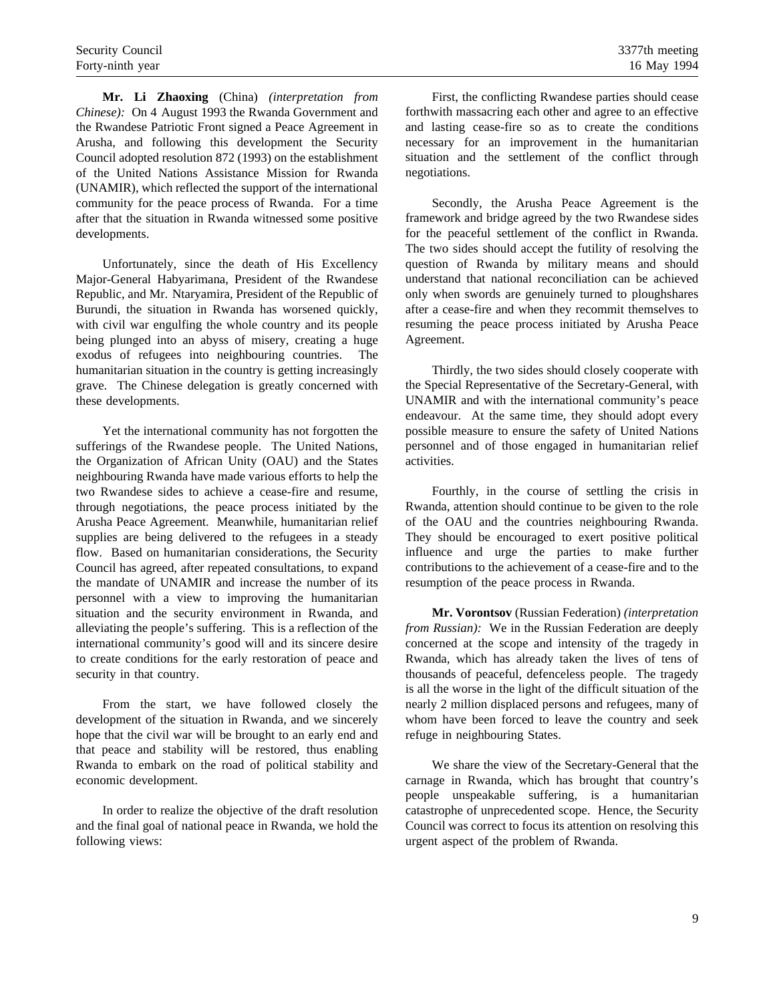**Mr. Li Zhaoxing** (China) *(interpretation from Chinese):* On 4 August 1993 the Rwanda Government and the Rwandese Patriotic Front signed a Peace Agreement in Arusha, and following this development the Security Council adopted resolution 872 (1993) on the establishment of the United Nations Assistance Mission for Rwanda (UNAMIR), which reflected the support of the international community for the peace process of Rwanda. For a time after that the situation in Rwanda witnessed some positive developments.

Unfortunately, since the death of His Excellency Major-General Habyarimana, President of the Rwandese Republic, and Mr. Ntaryamira, President of the Republic of Burundi, the situation in Rwanda has worsened quickly, with civil war engulfing the whole country and its people being plunged into an abyss of misery, creating a huge exodus of refugees into neighbouring countries. The humanitarian situation in the country is getting increasingly grave. The Chinese delegation is greatly concerned with these developments.

Yet the international community has not forgotten the sufferings of the Rwandese people. The United Nations, the Organization of African Unity (OAU) and the States neighbouring Rwanda have made various efforts to help the two Rwandese sides to achieve a cease-fire and resume, through negotiations, the peace process initiated by the Arusha Peace Agreement. Meanwhile, humanitarian relief supplies are being delivered to the refugees in a steady flow. Based on humanitarian considerations, the Security Council has agreed, after repeated consultations, to expand the mandate of UNAMIR and increase the number of its personnel with a view to improving the humanitarian situation and the security environment in Rwanda, and alleviating the people's suffering. This is a reflection of the international community's good will and its sincere desire to create conditions for the early restoration of peace and security in that country.

From the start, we have followed closely the development of the situation in Rwanda, and we sincerely hope that the civil war will be brought to an early end and that peace and stability will be restored, thus enabling Rwanda to embark on the road of political stability and economic development.

In order to realize the objective of the draft resolution and the final goal of national peace in Rwanda, we hold the following views:

First, the conflicting Rwandese parties should cease forthwith massacring each other and agree to an effective and lasting cease-fire so as to create the conditions necessary for an improvement in the humanitarian situation and the settlement of the conflict through negotiations.

Secondly, the Arusha Peace Agreement is the framework and bridge agreed by the two Rwandese sides for the peaceful settlement of the conflict in Rwanda. The two sides should accept the futility of resolving the question of Rwanda by military means and should understand that national reconciliation can be achieved only when swords are genuinely turned to ploughshares after a cease-fire and when they recommit themselves to resuming the peace process initiated by Arusha Peace Agreement.

Thirdly, the two sides should closely cooperate with the Special Representative of the Secretary-General, with UNAMIR and with the international community's peace endeavour. At the same time, they should adopt every possible measure to ensure the safety of United Nations personnel and of those engaged in humanitarian relief activities.

Fourthly, in the course of settling the crisis in Rwanda, attention should continue to be given to the role of the OAU and the countries neighbouring Rwanda. They should be encouraged to exert positive political influence and urge the parties to make further contributions to the achievement of a cease-fire and to the resumption of the peace process in Rwanda.

**Mr. Vorontsov** (Russian Federation) *(interpretation from Russian):* We in the Russian Federation are deeply concerned at the scope and intensity of the tragedy in Rwanda, which has already taken the lives of tens of thousands of peaceful, defenceless people. The tragedy is all the worse in the light of the difficult situation of the nearly 2 million displaced persons and refugees, many of whom have been forced to leave the country and seek refuge in neighbouring States.

We share the view of the Secretary-General that the carnage in Rwanda, which has brought that country's people unspeakable suffering, is a humanitarian catastrophe of unprecedented scope. Hence, the Security Council was correct to focus its attention on resolving this urgent aspect of the problem of Rwanda.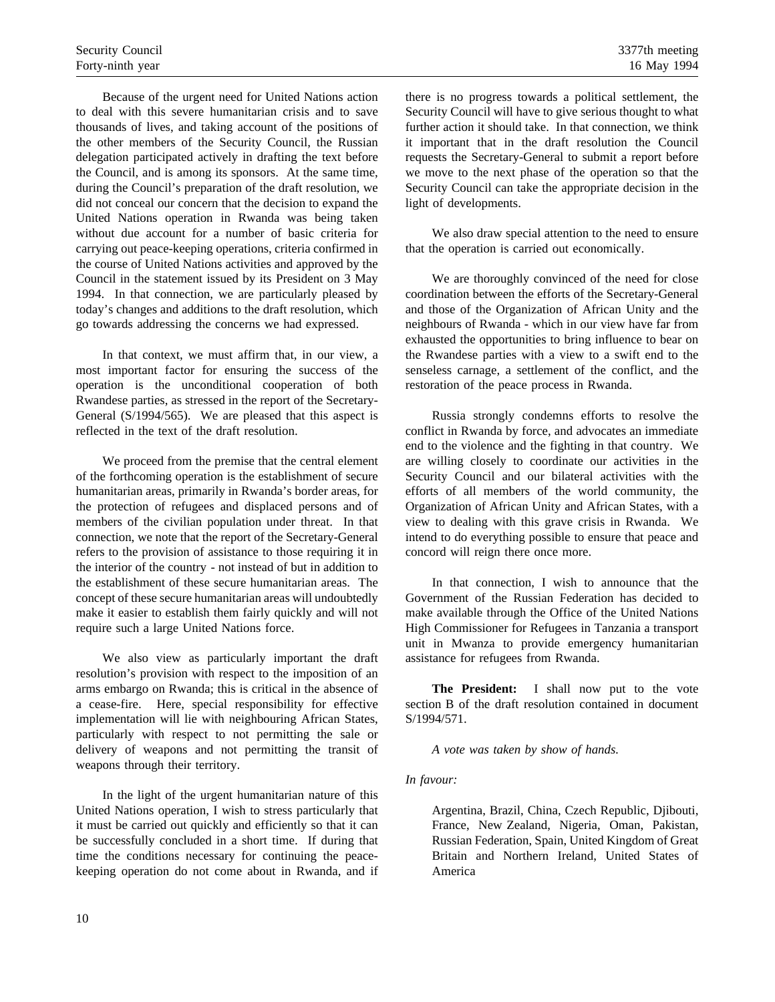Because of the urgent need for United Nations action to deal with this severe humanitarian crisis and to save thousands of lives, and taking account of the positions of the other members of the Security Council, the Russian delegation participated actively in drafting the text before the Council, and is among its sponsors. At the same time, during the Council's preparation of the draft resolution, we did not conceal our concern that the decision to expand the United Nations operation in Rwanda was being taken without due account for a number of basic criteria for carrying out peace-keeping operations, criteria confirmed in the course of United Nations activities and approved by the Council in the statement issued by its President on 3 May 1994. In that connection, we are particularly pleased by today's changes and additions to the draft resolution, which go towards addressing the concerns we had expressed.

In that context, we must affirm that, in our view, a most important factor for ensuring the success of the operation is the unconditional cooperation of both Rwandese parties, as stressed in the report of the Secretary-General (S/1994/565). We are pleased that this aspect is reflected in the text of the draft resolution.

We proceed from the premise that the central element of the forthcoming operation is the establishment of secure humanitarian areas, primarily in Rwanda's border areas, for the protection of refugees and displaced persons and of members of the civilian population under threat. In that connection, we note that the report of the Secretary-General refers to the provision of assistance to those requiring it in the interior of the country - not instead of but in addition to the establishment of these secure humanitarian areas. The concept of these secure humanitarian areas will undoubtedly make it easier to establish them fairly quickly and will not require such a large United Nations force.

We also view as particularly important the draft resolution's provision with respect to the imposition of an arms embargo on Rwanda; this is critical in the absence of a cease-fire. Here, special responsibility for effective implementation will lie with neighbouring African States, particularly with respect to not permitting the sale or delivery of weapons and not permitting the transit of weapons through their territory.

In the light of the urgent humanitarian nature of this United Nations operation, I wish to stress particularly that it must be carried out quickly and efficiently so that it can be successfully concluded in a short time. If during that time the conditions necessary for continuing the peacekeeping operation do not come about in Rwanda, and if there is no progress towards a political settlement, the Security Council will have to give serious thought to what further action it should take. In that connection, we think it important that in the draft resolution the Council requests the Secretary-General to submit a report before we move to the next phase of the operation so that the Security Council can take the appropriate decision in the light of developments.

We also draw special attention to the need to ensure that the operation is carried out economically.

We are thoroughly convinced of the need for close coordination between the efforts of the Secretary-General and those of the Organization of African Unity and the neighbours of Rwanda - which in our view have far from exhausted the opportunities to bring influence to bear on the Rwandese parties with a view to a swift end to the senseless carnage, a settlement of the conflict, and the restoration of the peace process in Rwanda.

Russia strongly condemns efforts to resolve the conflict in Rwanda by force, and advocates an immediate end to the violence and the fighting in that country. We are willing closely to coordinate our activities in the Security Council and our bilateral activities with the efforts of all members of the world community, the Organization of African Unity and African States, with a view to dealing with this grave crisis in Rwanda. We intend to do everything possible to ensure that peace and concord will reign there once more.

In that connection, I wish to announce that the Government of the Russian Federation has decided to make available through the Office of the United Nations High Commissioner for Refugees in Tanzania a transport unit in Mwanza to provide emergency humanitarian assistance for refugees from Rwanda.

**The President:** I shall now put to the vote section B of the draft resolution contained in document S/1994/571.

*A vote was taken by show of hands.*

## *In favour:*

Argentina, Brazil, China, Czech Republic, Djibouti, France, New Zealand, Nigeria, Oman, Pakistan, Russian Federation, Spain, United Kingdom of Great Britain and Northern Ireland, United States of America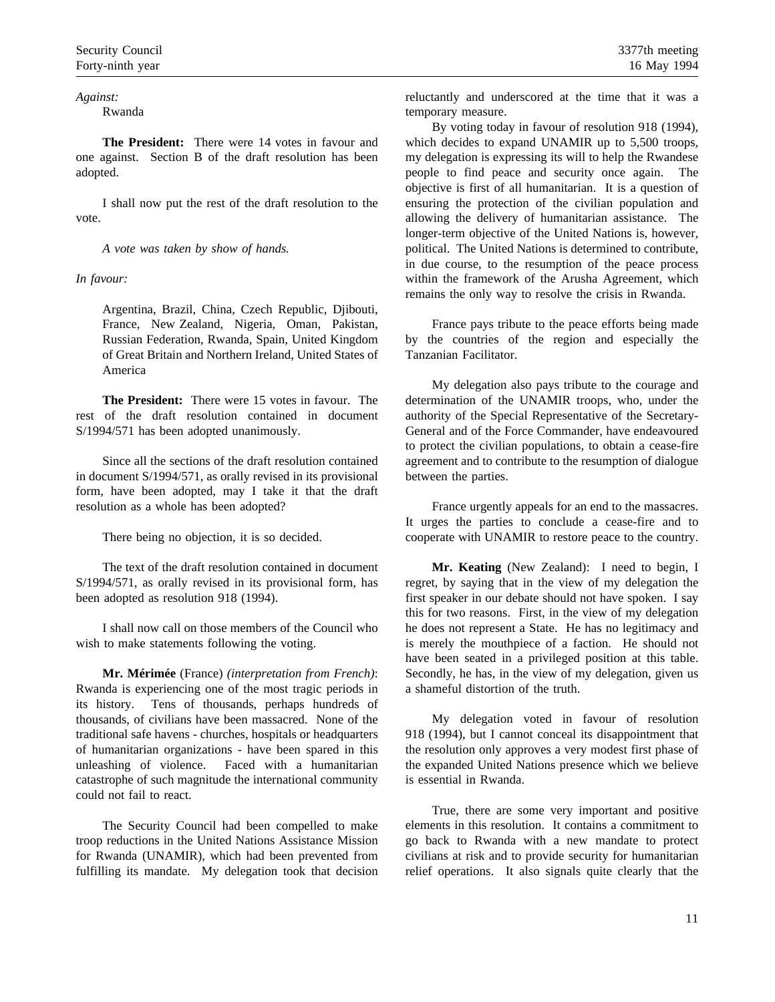*Against:*

## Rwanda

**The President:** There were 14 votes in favour and one against. Section B of the draft resolution has been adopted.

I shall now put the rest of the draft resolution to the vote.

*A vote was taken by show of hands.*

## *In favour:*

Argentina, Brazil, China, Czech Republic, Djibouti, France, New Zealand, Nigeria, Oman, Pakistan, Russian Federation, Rwanda, Spain, United Kingdom of Great Britain and Northern Ireland, United States of America

**The President:** There were 15 votes in favour. The rest of the draft resolution contained in document S/1994/571 has been adopted unanimously.

Since all the sections of the draft resolution contained in document S/1994/571, as orally revised in its provisional form, have been adopted, may I take it that the draft resolution as a whole has been adopted?

There being no objection, it is so decided.

The text of the draft resolution contained in document S/1994/571, as orally revised in its provisional form, has been adopted as resolution 918 (1994).

I shall now call on those members of the Council who wish to make statements following the voting.

**Mr. Mérimée** (France) *(interpretation from French)*: Rwanda is experiencing one of the most tragic periods in its history. Tens of thousands, perhaps hundreds of thousands, of civilians have been massacred. None of the traditional safe havens - churches, hospitals or headquarters of humanitarian organizations - have been spared in this unleashing of violence. Faced with a humanitarian catastrophe of such magnitude the international community could not fail to react.

The Security Council had been compelled to make troop reductions in the United Nations Assistance Mission for Rwanda (UNAMIR), which had been prevented from fulfilling its mandate. My delegation took that decision reluctantly and underscored at the time that it was a temporary measure.

By voting today in favour of resolution 918 (1994), which decides to expand UNAMIR up to 5,500 troops, my delegation is expressing its will to help the Rwandese people to find peace and security once again. The objective is first of all humanitarian. It is a question of ensuring the protection of the civilian population and allowing the delivery of humanitarian assistance. The longer-term objective of the United Nations is, however, political. The United Nations is determined to contribute, in due course, to the resumption of the peace process within the framework of the Arusha Agreement, which remains the only way to resolve the crisis in Rwanda.

France pays tribute to the peace efforts being made by the countries of the region and especially the Tanzanian Facilitator.

My delegation also pays tribute to the courage and determination of the UNAMIR troops, who, under the authority of the Special Representative of the Secretary-General and of the Force Commander, have endeavoured to protect the civilian populations, to obtain a cease-fire agreement and to contribute to the resumption of dialogue between the parties.

France urgently appeals for an end to the massacres. It urges the parties to conclude a cease-fire and to cooperate with UNAMIR to restore peace to the country.

**Mr. Keating** (New Zealand): I need to begin, I regret, by saying that in the view of my delegation the first speaker in our debate should not have spoken. I say this for two reasons. First, in the view of my delegation he does not represent a State. He has no legitimacy and is merely the mouthpiece of a faction. He should not have been seated in a privileged position at this table. Secondly, he has, in the view of my delegation, given us a shameful distortion of the truth.

My delegation voted in favour of resolution 918 (1994), but I cannot conceal its disappointment that the resolution only approves a very modest first phase of the expanded United Nations presence which we believe is essential in Rwanda.

True, there are some very important and positive elements in this resolution. It contains a commitment to go back to Rwanda with a new mandate to protect civilians at risk and to provide security for humanitarian relief operations. It also signals quite clearly that the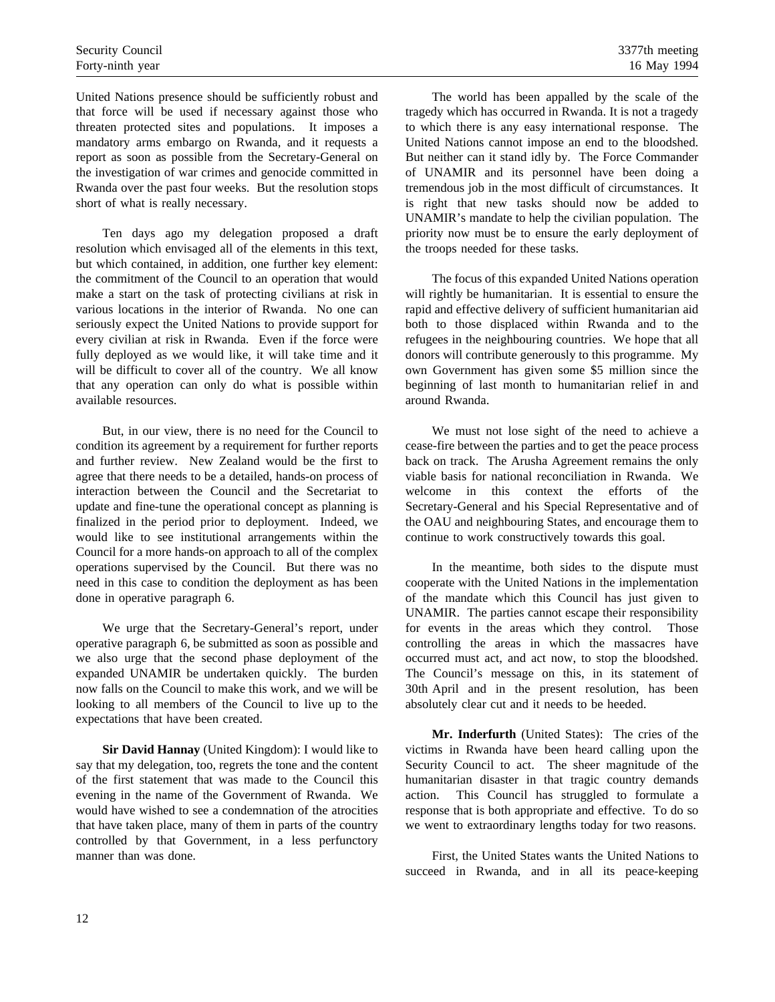United Nations presence should be sufficiently robust and that force will be used if necessary against those who threaten protected sites and populations. It imposes a mandatory arms embargo on Rwanda, and it requests a report as soon as possible from the Secretary-General on the investigation of war crimes and genocide committed in Rwanda over the past four weeks. But the resolution stops short of what is really necessary.

Ten days ago my delegation proposed a draft resolution which envisaged all of the elements in this text, but which contained, in addition, one further key element: the commitment of the Council to an operation that would make a start on the task of protecting civilians at risk in various locations in the interior of Rwanda. No one can seriously expect the United Nations to provide support for every civilian at risk in Rwanda. Even if the force were fully deployed as we would like, it will take time and it will be difficult to cover all of the country. We all know that any operation can only do what is possible within available resources.

But, in our view, there is no need for the Council to condition its agreement by a requirement for further reports and further review. New Zealand would be the first to agree that there needs to be a detailed, hands-on process of interaction between the Council and the Secretariat to update and fine-tune the operational concept as planning is finalized in the period prior to deployment. Indeed, we would like to see institutional arrangements within the Council for a more hands-on approach to all of the complex operations supervised by the Council. But there was no need in this case to condition the deployment as has been done in operative paragraph 6.

We urge that the Secretary-General's report, under operative paragraph 6, be submitted as soon as possible and we also urge that the second phase deployment of the expanded UNAMIR be undertaken quickly. The burden now falls on the Council to make this work, and we will be looking to all members of the Council to live up to the expectations that have been created.

**Sir David Hannay** (United Kingdom): I would like to say that my delegation, too, regrets the tone and the content of the first statement that was made to the Council this evening in the name of the Government of Rwanda. We would have wished to see a condemnation of the atrocities that have taken place, many of them in parts of the country controlled by that Government, in a less perfunctory manner than was done.

The world has been appalled by the scale of the tragedy which has occurred in Rwanda. It is not a tragedy to which there is any easy international response. The United Nations cannot impose an end to the bloodshed. But neither can it stand idly by. The Force Commander of UNAMIR and its personnel have been doing a tremendous job in the most difficult of circumstances. It is right that new tasks should now be added to UNAMIR's mandate to help the civilian population. The priority now must be to ensure the early deployment of the troops needed for these tasks.

The focus of this expanded United Nations operation will rightly be humanitarian. It is essential to ensure the rapid and effective delivery of sufficient humanitarian aid both to those displaced within Rwanda and to the refugees in the neighbouring countries. We hope that all donors will contribute generously to this programme. My own Government has given some \$5 million since the beginning of last month to humanitarian relief in and around Rwanda.

We must not lose sight of the need to achieve a cease-fire between the parties and to get the peace process back on track. The Arusha Agreement remains the only viable basis for national reconciliation in Rwanda. We welcome in this context the efforts of the Secretary-General and his Special Representative and of the OAU and neighbouring States, and encourage them to continue to work constructively towards this goal.

In the meantime, both sides to the dispute must cooperate with the United Nations in the implementation of the mandate which this Council has just given to UNAMIR. The parties cannot escape their responsibility for events in the areas which they control. Those controlling the areas in which the massacres have occurred must act, and act now, to stop the bloodshed. The Council's message on this, in its statement of 30th April and in the present resolution, has been absolutely clear cut and it needs to be heeded.

**Mr. Inderfurth** (United States): The cries of the victims in Rwanda have been heard calling upon the Security Council to act. The sheer magnitude of the humanitarian disaster in that tragic country demands action. This Council has struggled to formulate a response that is both appropriate and effective. To do so we went to extraordinary lengths today for two reasons.

First, the United States wants the United Nations to succeed in Rwanda, and in all its peace-keeping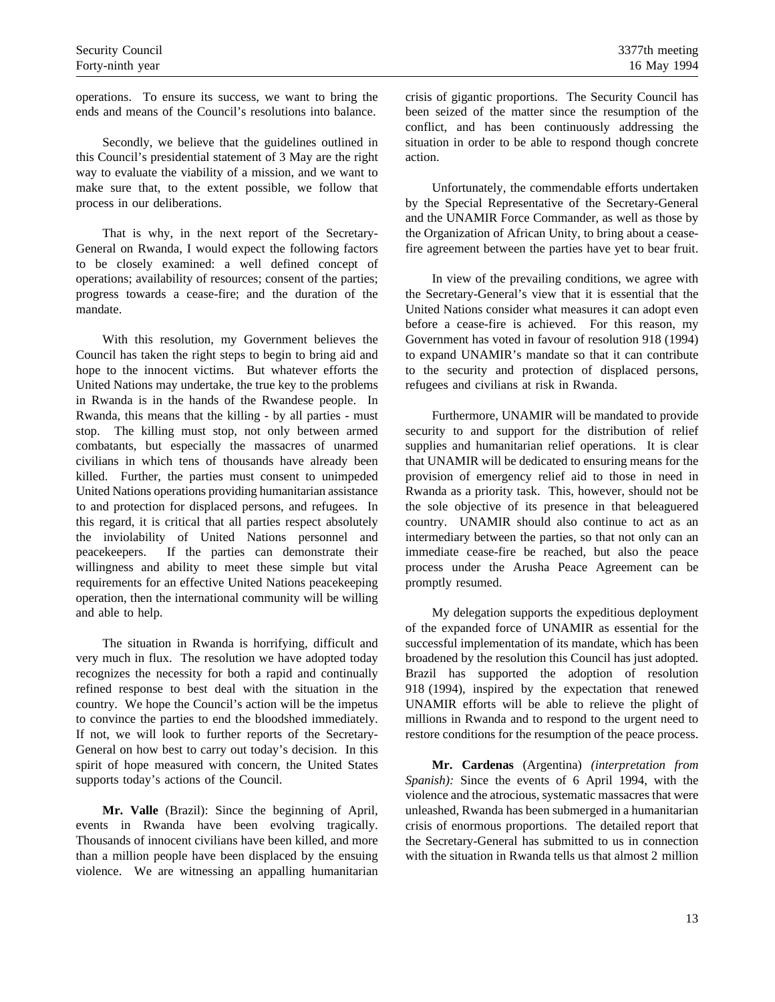operations. To ensure its success, we want to bring the ends and means of the Council's resolutions into balance.

Secondly, we believe that the guidelines outlined in this Council's presidential statement of 3 May are the right way to evaluate the viability of a mission, and we want to make sure that, to the extent possible, we follow that process in our deliberations.

That is why, in the next report of the Secretary-General on Rwanda, I would expect the following factors to be closely examined: a well defined concept of operations; availability of resources; consent of the parties; progress towards a cease-fire; and the duration of the mandate.

With this resolution, my Government believes the Council has taken the right steps to begin to bring aid and hope to the innocent victims. But whatever efforts the United Nations may undertake, the true key to the problems in Rwanda is in the hands of the Rwandese people. In Rwanda, this means that the killing - by all parties - must stop. The killing must stop, not only between armed combatants, but especially the massacres of unarmed civilians in which tens of thousands have already been killed. Further, the parties must consent to unimpeded United Nations operations providing humanitarian assistance to and protection for displaced persons, and refugees. In this regard, it is critical that all parties respect absolutely the inviolability of United Nations personnel and peacekeepers. If the parties can demonstrate their willingness and ability to meet these simple but vital requirements for an effective United Nations peacekeeping operation, then the international community will be willing and able to help.

The situation in Rwanda is horrifying, difficult and very much in flux. The resolution we have adopted today recognizes the necessity for both a rapid and continually refined response to best deal with the situation in the country. We hope the Council's action will be the impetus to convince the parties to end the bloodshed immediately. If not, we will look to further reports of the Secretary-General on how best to carry out today's decision. In this spirit of hope measured with concern, the United States supports today's actions of the Council.

**Mr. Valle** (Brazil): Since the beginning of April, events in Rwanda have been evolving tragically. Thousands of innocent civilians have been killed, and more than a million people have been displaced by the ensuing violence. We are witnessing an appalling humanitarian crisis of gigantic proportions. The Security Council has been seized of the matter since the resumption of the conflict, and has been continuously addressing the situation in order to be able to respond though concrete action.

Unfortunately, the commendable efforts undertaken by the Special Representative of the Secretary-General and the UNAMIR Force Commander, as well as those by the Organization of African Unity, to bring about a ceasefire agreement between the parties have yet to bear fruit.

In view of the prevailing conditions, we agree with the Secretary-General's view that it is essential that the United Nations consider what measures it can adopt even before a cease-fire is achieved. For this reason, my Government has voted in favour of resolution 918 (1994) to expand UNAMIR's mandate so that it can contribute to the security and protection of displaced persons, refugees and civilians at risk in Rwanda.

Furthermore, UNAMIR will be mandated to provide security to and support for the distribution of relief supplies and humanitarian relief operations. It is clear that UNAMIR will be dedicated to ensuring means for the provision of emergency relief aid to those in need in Rwanda as a priority task. This, however, should not be the sole objective of its presence in that beleaguered country. UNAMIR should also continue to act as an intermediary between the parties, so that not only can an immediate cease-fire be reached, but also the peace process under the Arusha Peace Agreement can be promptly resumed.

My delegation supports the expeditious deployment of the expanded force of UNAMIR as essential for the successful implementation of its mandate, which has been broadened by the resolution this Council has just adopted. Brazil has supported the adoption of resolution 918 (1994), inspired by the expectation that renewed UNAMIR efforts will be able to relieve the plight of millions in Rwanda and to respond to the urgent need to restore conditions for the resumption of the peace process.

**Mr. Cardenas** (Argentina) *(interpretation from Spanish):* Since the events of 6 April 1994, with the violence and the atrocious, systematic massacres that were unleashed, Rwanda has been submerged in a humanitarian crisis of enormous proportions. The detailed report that the Secretary-General has submitted to us in connection with the situation in Rwanda tells us that almost 2 million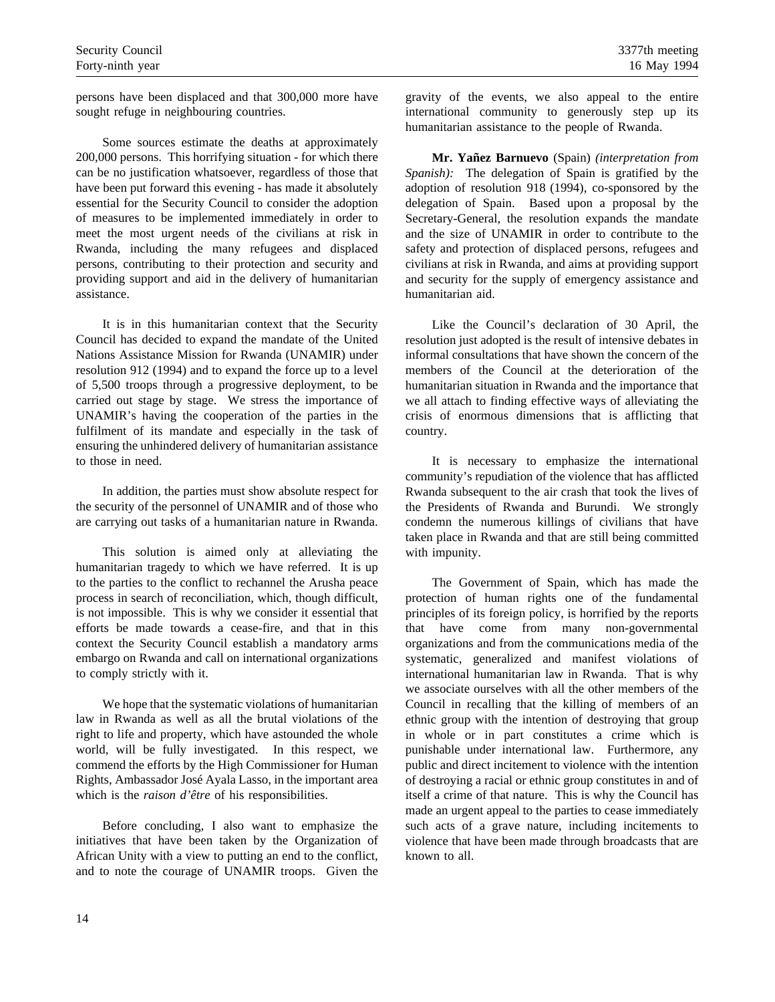persons have been displaced and that 300,000 more have sought refuge in neighbouring countries.

Some sources estimate the deaths at approximately 200,000 persons. This horrifying situation - for which there can be no justification whatsoever, regardless of those that have been put forward this evening - has made it absolutely essential for the Security Council to consider the adoption of measures to be implemented immediately in order to meet the most urgent needs of the civilians at risk in Rwanda, including the many refugees and displaced persons, contributing to their protection and security and providing support and aid in the delivery of humanitarian assistance.

It is in this humanitarian context that the Security Council has decided to expand the mandate of the United Nations Assistance Mission for Rwanda (UNAMIR) under resolution 912 (1994) and to expand the force up to a level of 5,500 troops through a progressive deployment, to be carried out stage by stage. We stress the importance of UNAMIR's having the cooperation of the parties in the fulfilment of its mandate and especially in the task of ensuring the unhindered delivery of humanitarian assistance to those in need.

In addition, the parties must show absolute respect for the security of the personnel of UNAMIR and of those who are carrying out tasks of a humanitarian nature in Rwanda.

This solution is aimed only at alleviating the humanitarian tragedy to which we have referred. It is up to the parties to the conflict to rechannel the Arusha peace process in search of reconciliation, which, though difficult, is not impossible. This is why we consider it essential that efforts be made towards a cease-fire, and that in this context the Security Council establish a mandatory arms embargo on Rwanda and call on international organizations to comply strictly with it.

We hope that the systematic violations of humanitarian law in Rwanda as well as all the brutal violations of the right to life and property, which have astounded the whole world, will be fully investigated. In this respect, we commend the efforts by the High Commissioner for Human Rights, Ambassador José Ayala Lasso, in the important area which is the *raison d'être* of his responsibilities.

Before concluding, I also want to emphasize the initiatives that have been taken by the Organization of African Unity with a view to putting an end to the conflict, and to note the courage of UNAMIR troops. Given the

gravity of the events, we also appeal to the entire international community to generously step up its humanitarian assistance to the people of Rwanda.

**Mr. Yañez Barnuevo** (Spain) *(interpretation from Spanish):* The delegation of Spain is gratified by the adoption of resolution 918 (1994), co-sponsored by the delegation of Spain. Based upon a proposal by the Secretary-General, the resolution expands the mandate and the size of UNAMIR in order to contribute to the safety and protection of displaced persons, refugees and civilians at risk in Rwanda, and aims at providing support and security for the supply of emergency assistance and humanitarian aid.

Like the Council's declaration of 30 April, the resolution just adopted is the result of intensive debates in informal consultations that have shown the concern of the members of the Council at the deterioration of the humanitarian situation in Rwanda and the importance that we all attach to finding effective ways of alleviating the crisis of enormous dimensions that is afflicting that country.

It is necessary to emphasize the international community's repudiation of the violence that has afflicted Rwanda subsequent to the air crash that took the lives of the Presidents of Rwanda and Burundi. We strongly condemn the numerous killings of civilians that have taken place in Rwanda and that are still being committed with impunity.

The Government of Spain, which has made the protection of human rights one of the fundamental principles of its foreign policy, is horrified by the reports that have come from many non-governmental organizations and from the communications media of the systematic, generalized and manifest violations of international humanitarian law in Rwanda. That is why we associate ourselves with all the other members of the Council in recalling that the killing of members of an ethnic group with the intention of destroying that group in whole or in part constitutes a crime which is punishable under international law. Furthermore, any public and direct incitement to violence with the intention of destroying a racial or ethnic group constitutes in and of itself a crime of that nature. This is why the Council has made an urgent appeal to the parties to cease immediately such acts of a grave nature, including incitements to violence that have been made through broadcasts that are known to all.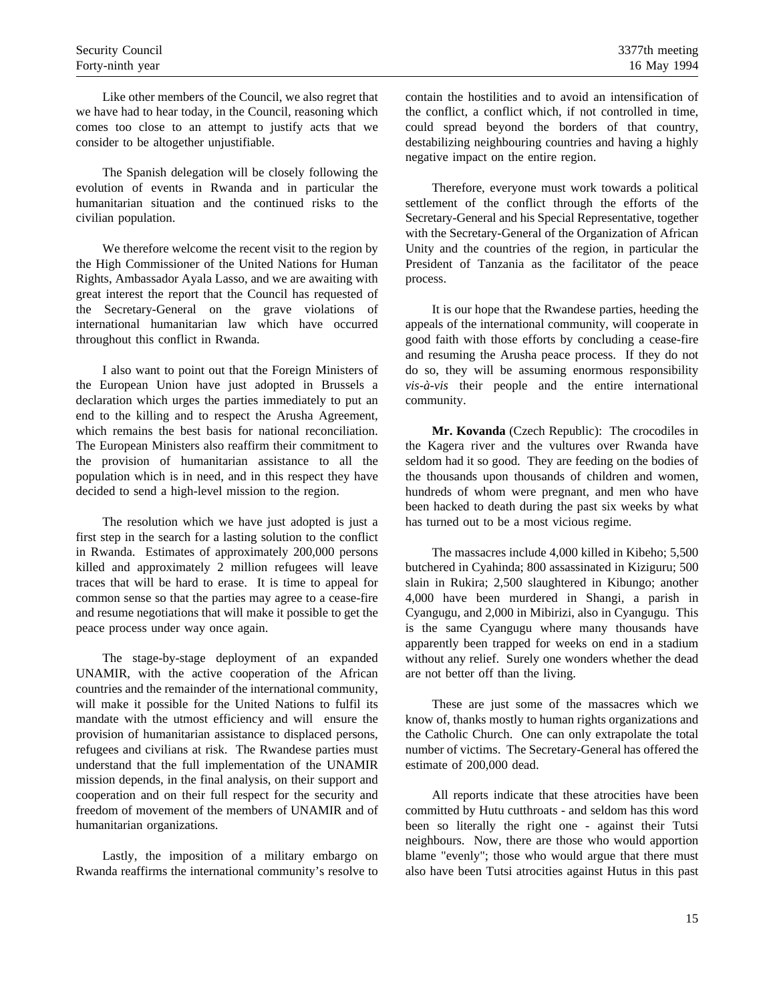Like other members of the Council, we also regret that we have had to hear today, in the Council, reasoning which comes too close to an attempt to justify acts that we consider to be altogether unjustifiable.

The Spanish delegation will be closely following the evolution of events in Rwanda and in particular the humanitarian situation and the continued risks to the civilian population.

We therefore welcome the recent visit to the region by the High Commissioner of the United Nations for Human Rights, Ambassador Ayala Lasso, and we are awaiting with great interest the report that the Council has requested of the Secretary-General on the grave violations of international humanitarian law which have occurred throughout this conflict in Rwanda.

I also want to point out that the Foreign Ministers of the European Union have just adopted in Brussels a declaration which urges the parties immediately to put an end to the killing and to respect the Arusha Agreement, which remains the best basis for national reconciliation. The European Ministers also reaffirm their commitment to the provision of humanitarian assistance to all the population which is in need, and in this respect they have decided to send a high-level mission to the region.

The resolution which we have just adopted is just a first step in the search for a lasting solution to the conflict in Rwanda. Estimates of approximately 200,000 persons killed and approximately 2 million refugees will leave traces that will be hard to erase. It is time to appeal for common sense so that the parties may agree to a cease-fire and resume negotiations that will make it possible to get the peace process under way once again.

The stage-by-stage deployment of an expanded UNAMIR, with the active cooperation of the African countries and the remainder of the international community, will make it possible for the United Nations to fulfil its mandate with the utmost efficiency and will ensure the provision of humanitarian assistance to displaced persons, refugees and civilians at risk. The Rwandese parties must understand that the full implementation of the UNAMIR mission depends, in the final analysis, on their support and cooperation and on their full respect for the security and freedom of movement of the members of UNAMIR and of humanitarian organizations.

Lastly, the imposition of a military embargo on Rwanda reaffirms the international community's resolve to contain the hostilities and to avoid an intensification of the conflict, a conflict which, if not controlled in time, could spread beyond the borders of that country, destabilizing neighbouring countries and having a highly negative impact on the entire region.

Therefore, everyone must work towards a political settlement of the conflict through the efforts of the Secretary-General and his Special Representative, together with the Secretary-General of the Organization of African Unity and the countries of the region, in particular the President of Tanzania as the facilitator of the peace process.

It is our hope that the Rwandese parties, heeding the appeals of the international community, will cooperate in good faith with those efforts by concluding a cease-fire and resuming the Arusha peace process. If they do not do so, they will be assuming enormous responsibility *vis-à-vis* their people and the entire international community.

**Mr. Kovanda** (Czech Republic): The crocodiles in the Kagera river and the vultures over Rwanda have seldom had it so good. They are feeding on the bodies of the thousands upon thousands of children and women, hundreds of whom were pregnant, and men who have been hacked to death during the past six weeks by what has turned out to be a most vicious regime.

The massacres include 4,000 killed in Kibeho; 5,500 butchered in Cyahinda; 800 assassinated in Kiziguru; 500 slain in Rukira; 2,500 slaughtered in Kibungo; another 4,000 have been murdered in Shangi, a parish in Cyangugu, and 2,000 in Mibirizi, also in Cyangugu. This is the same Cyangugu where many thousands have apparently been trapped for weeks on end in a stadium without any relief. Surely one wonders whether the dead are not better off than the living.

These are just some of the massacres which we know of, thanks mostly to human rights organizations and the Catholic Church. One can only extrapolate the total number of victims. The Secretary-General has offered the estimate of 200,000 dead.

All reports indicate that these atrocities have been committed by Hutu cutthroats - and seldom has this word been so literally the right one - against their Tutsi neighbours. Now, there are those who would apportion blame "evenly"; those who would argue that there must also have been Tutsi atrocities against Hutus in this past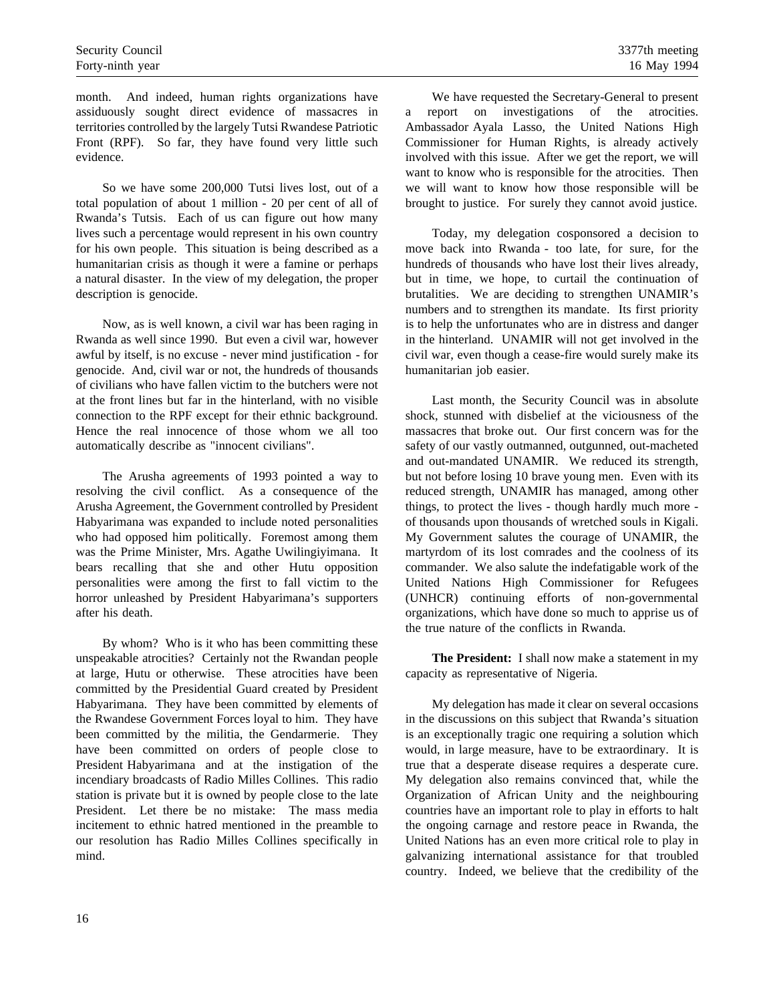month. And indeed, human rights organizations have assiduously sought direct evidence of massacres in territories controlled by the largely Tutsi Rwandese Patriotic Front (RPF). So far, they have found very little such evidence.

So we have some 200,000 Tutsi lives lost, out of a total population of about 1 million - 20 per cent of all of Rwanda's Tutsis. Each of us can figure out how many lives such a percentage would represent in his own country for his own people. This situation is being described as a humanitarian crisis as though it were a famine or perhaps a natural disaster. In the view of my delegation, the proper description is genocide.

Now, as is well known, a civil war has been raging in Rwanda as well since 1990. But even a civil war, however awful by itself, is no excuse - never mind justification - for genocide. And, civil war or not, the hundreds of thousands of civilians who have fallen victim to the butchers were not at the front lines but far in the hinterland, with no visible connection to the RPF except for their ethnic background. Hence the real innocence of those whom we all too automatically describe as "innocent civilians".

The Arusha agreements of 1993 pointed a way to resolving the civil conflict. As a consequence of the Arusha Agreement, the Government controlled by President Habyarimana was expanded to include noted personalities who had opposed him politically. Foremost among them was the Prime Minister, Mrs. Agathe Uwilingiyimana. It bears recalling that she and other Hutu opposition personalities were among the first to fall victim to the horror unleashed by President Habyarimana's supporters after his death.

By whom? Who is it who has been committing these unspeakable atrocities? Certainly not the Rwandan people at large, Hutu or otherwise. These atrocities have been committed by the Presidential Guard created by President Habyarimana. They have been committed by elements of the Rwandese Government Forces loyal to him. They have been committed by the militia, the Gendarmerie. They have been committed on orders of people close to President Habyarimana and at the instigation of the incendiary broadcasts of Radio Milles Collines. This radio station is private but it is owned by people close to the late President. Let there be no mistake: The mass media incitement to ethnic hatred mentioned in the preamble to our resolution has Radio Milles Collines specifically in mind.

We have requested the Secretary-General to present a report on investigations of the atrocities. Ambassador Ayala Lasso, the United Nations High Commissioner for Human Rights, is already actively involved with this issue. After we get the report, we will want to know who is responsible for the atrocities. Then we will want to know how those responsible will be brought to justice. For surely they cannot avoid justice.

Today, my delegation cosponsored a decision to move back into Rwanda - too late, for sure, for the hundreds of thousands who have lost their lives already, but in time, we hope, to curtail the continuation of brutalities. We are deciding to strengthen UNAMIR's numbers and to strengthen its mandate. Its first priority is to help the unfortunates who are in distress and danger in the hinterland. UNAMIR will not get involved in the civil war, even though a cease-fire would surely make its humanitarian job easier.

Last month, the Security Council was in absolute shock, stunned with disbelief at the viciousness of the massacres that broke out. Our first concern was for the safety of our vastly outmanned, outgunned, out-macheted and out-mandated UNAMIR. We reduced its strength, but not before losing 10 brave young men. Even with its reduced strength, UNAMIR has managed, among other things, to protect the lives - though hardly much more of thousands upon thousands of wretched souls in Kigali. My Government salutes the courage of UNAMIR, the martyrdom of its lost comrades and the coolness of its commander. We also salute the indefatigable work of the United Nations High Commissioner for Refugees (UNHCR) continuing efforts of non-governmental organizations, which have done so much to apprise us of the true nature of the conflicts in Rwanda.

**The President:** I shall now make a statement in my capacity as representative of Nigeria.

My delegation has made it clear on several occasions in the discussions on this subject that Rwanda's situation is an exceptionally tragic one requiring a solution which would, in large measure, have to be extraordinary. It is true that a desperate disease requires a desperate cure. My delegation also remains convinced that, while the Organization of African Unity and the neighbouring countries have an important role to play in efforts to halt the ongoing carnage and restore peace in Rwanda, the United Nations has an even more critical role to play in galvanizing international assistance for that troubled country. Indeed, we believe that the credibility of the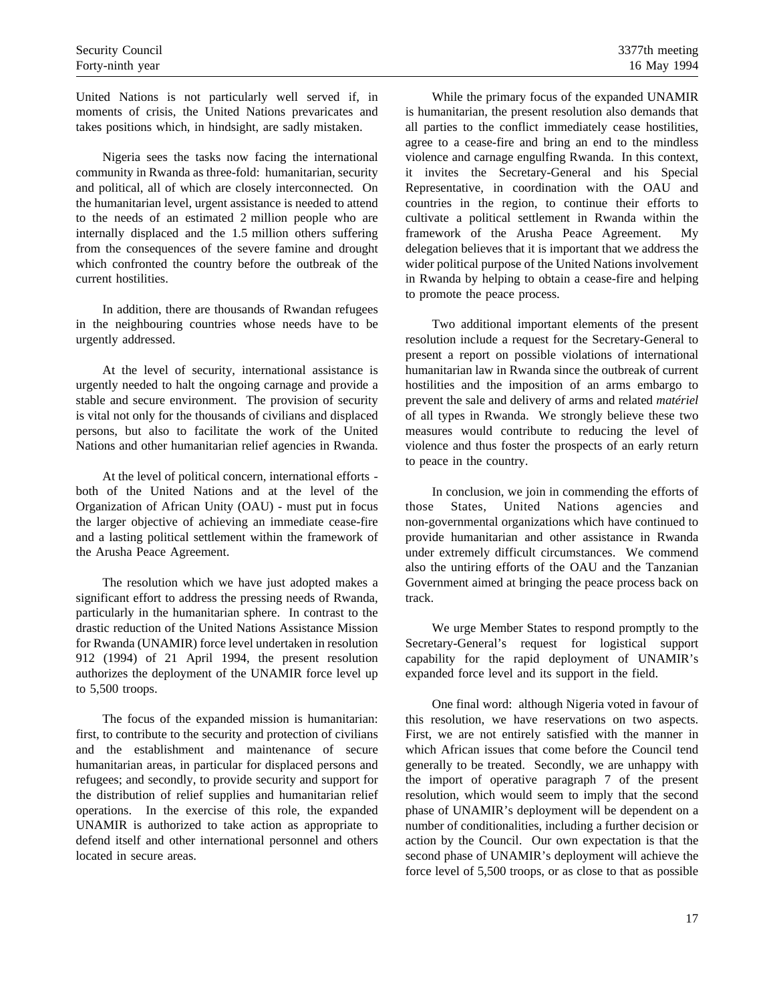United Nations is not particularly well served if, in moments of crisis, the United Nations prevaricates and takes positions which, in hindsight, are sadly mistaken.

Nigeria sees the tasks now facing the international community in Rwanda as three-fold: humanitarian, security and political, all of which are closely interconnected. On the humanitarian level, urgent assistance is needed to attend to the needs of an estimated 2 million people who are internally displaced and the 1.5 million others suffering from the consequences of the severe famine and drought which confronted the country before the outbreak of the current hostilities.

In addition, there are thousands of Rwandan refugees in the neighbouring countries whose needs have to be urgently addressed.

At the level of security, international assistance is urgently needed to halt the ongoing carnage and provide a stable and secure environment. The provision of security is vital not only for the thousands of civilians and displaced persons, but also to facilitate the work of the United Nations and other humanitarian relief agencies in Rwanda.

At the level of political concern, international efforts both of the United Nations and at the level of the Organization of African Unity (OAU) - must put in focus the larger objective of achieving an immediate cease-fire and a lasting political settlement within the framework of the Arusha Peace Agreement.

The resolution which we have just adopted makes a significant effort to address the pressing needs of Rwanda, particularly in the humanitarian sphere. In contrast to the drastic reduction of the United Nations Assistance Mission for Rwanda (UNAMIR) force level undertaken in resolution 912 (1994) of 21 April 1994, the present resolution authorizes the deployment of the UNAMIR force level up to 5,500 troops.

The focus of the expanded mission is humanitarian: first, to contribute to the security and protection of civilians and the establishment and maintenance of secure humanitarian areas, in particular for displaced persons and refugees; and secondly, to provide security and support for the distribution of relief supplies and humanitarian relief operations. In the exercise of this role, the expanded UNAMIR is authorized to take action as appropriate to defend itself and other international personnel and others located in secure areas.

While the primary focus of the expanded UNAMIR is humanitarian, the present resolution also demands that all parties to the conflict immediately cease hostilities, agree to a cease-fire and bring an end to the mindless violence and carnage engulfing Rwanda. In this context, it invites the Secretary-General and his Special Representative, in coordination with the OAU and countries in the region, to continue their efforts to cultivate a political settlement in Rwanda within the framework of the Arusha Peace Agreement. My delegation believes that it is important that we address the wider political purpose of the United Nations involvement in Rwanda by helping to obtain a cease-fire and helping to promote the peace process.

Two additional important elements of the present resolution include a request for the Secretary-General to present a report on possible violations of international humanitarian law in Rwanda since the outbreak of current hostilities and the imposition of an arms embargo to prevent the sale and delivery of arms and related *matériel* of all types in Rwanda. We strongly believe these two measures would contribute to reducing the level of violence and thus foster the prospects of an early return to peace in the country.

In conclusion, we join in commending the efforts of those States, United Nations agencies and non-governmental organizations which have continued to provide humanitarian and other assistance in Rwanda under extremely difficult circumstances. We commend also the untiring efforts of the OAU and the Tanzanian Government aimed at bringing the peace process back on track.

We urge Member States to respond promptly to the Secretary-General's request for logistical support capability for the rapid deployment of UNAMIR's expanded force level and its support in the field.

One final word: although Nigeria voted in favour of this resolution, we have reservations on two aspects. First, we are not entirely satisfied with the manner in which African issues that come before the Council tend generally to be treated. Secondly, we are unhappy with the import of operative paragraph 7 of the present resolution, which would seem to imply that the second phase of UNAMIR's deployment will be dependent on a number of conditionalities, including a further decision or action by the Council. Our own expectation is that the second phase of UNAMIR's deployment will achieve the force level of 5,500 troops, or as close to that as possible